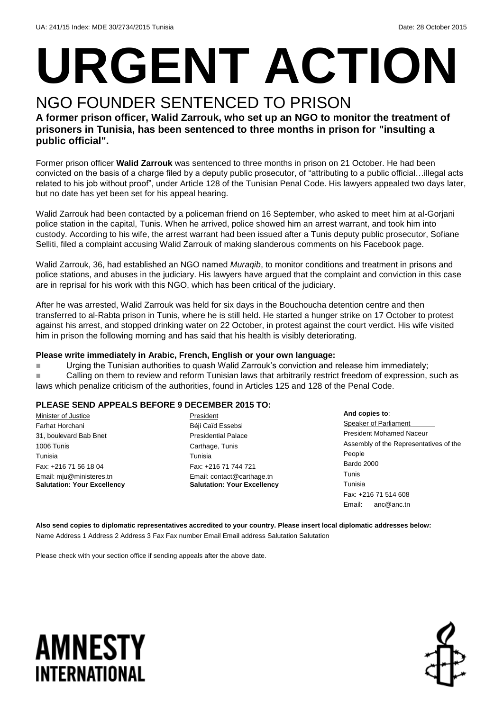# **URGENT ACTION**

## NGO FOUNDER SENTENCED TO PRISON

**A former prison officer, Walid Zarrouk, who set up an NGO to monitor the treatment of prisoners in Tunisia, has been sentenced to three months in prison for "insulting a public official".**

Former prison officer **Walid Zarrouk** was sentenced to three months in prison on 21 October. He had been convicted on the basis of a charge filed by a deputy public prosecutor, of "attributing to a public official…illegal acts related to his job without proof", under Article 128 of the Tunisian Penal Code. His lawyers appealed two days later, but no date has yet been set for his appeal hearing.

Walid Zarrouk had been contacted by a policeman friend on 16 September, who asked to meet him at al-Gorjani police station in the capital, Tunis. When he arrived, police showed him an arrest warrant, and took him into custody. According to his wife, the arrest warrant had been issued after a Tunis deputy public prosecutor, Sofiane Selliti, filed a complaint accusing Walid Zarrouk of making slanderous comments on his Facebook page.

Walid Zarrouk, 36, had established an NGO named *Muraqib*, to monitor conditions and treatment in prisons and police stations, and abuses in the judiciary. His lawyers have argued that the complaint and conviction in this case are in reprisal for his work with this NGO, which has been critical of the judiciary.

After he was arrested, Walid Zarrouk was held for six days in the Bouchoucha detention centre and then transferred to al-Rabta prison in Tunis, where he is still held. He started a hunger strike on 17 October to protest against his arrest, and stopped drinking water on 22 October, in protest against the court verdict. His wife visited him in prison the following morning and has said that his health is visibly deteriorating.

#### **Please write immediately in Arabic, French, English or your own language:**

**Urging the Tunisian authorities to quash Walid Zarrouk's conviction and release him immediately; Calling on them to review and reform Tunisian laws that arbitrarily restrict freedom of expression, such as** laws which penalize criticism of the authorities, found in Articles 125 and 128 of the Penal Code.

#### **PLEASE SEND APPEALS BEFORE 9 DECEMBER 2015 TO:**

Minister of Justice Farhat Horchani 31, boulevard Bab Bnet 1006 Tunis Tunisia Fax: +216 71 56 18 04 Email: mju@ministeres.tn **Salutation: Your Excellency** President Béji Caïd Essebsi Presidential Palace Carthage, Tunis Tunisia Fax: +216 71 744 721 Email: contact@carthage.tn **Salutation: Your Excellency**

**And copies to**: Speaker of Parliament President Mohamed Naceur Assembly of the Representatives of the People Bardo 2000 Tunis Tunisia Fax: +216 71 514 608 Email: anc@anc.tn

**Also send copies to diplomatic representatives accredited to your country. Please insert local diplomatic addresses below:** Name Address 1 Address 2 Address 3 Fax Fax number Email Email address Salutation Salutation

Please check with your section office if sending appeals after the above date.